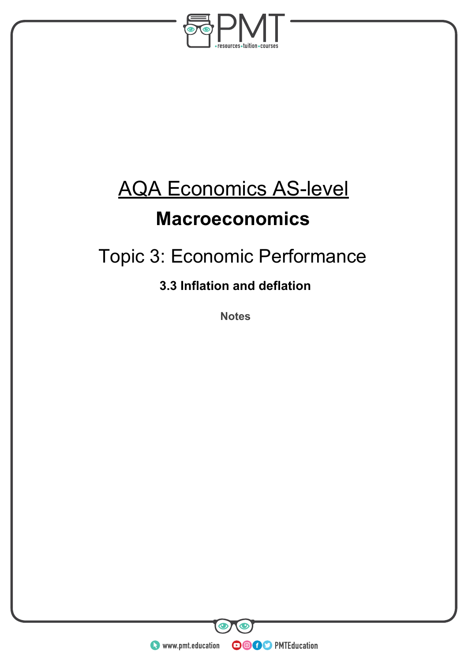

# AQA Economics AS-level

### **Macroeconomics**

## Topic 3: Economic Performance

### **3.3 Inflation and deflation**

**Notes** 

**WWW.pmt.education** 

**OOOO** PMTEducation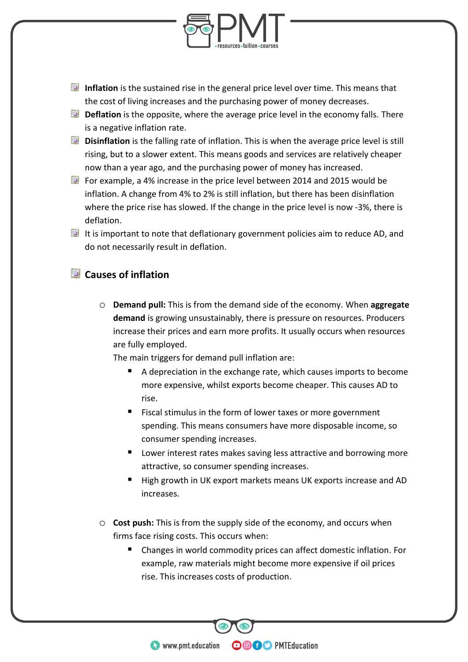

- **Inflation** is the sustained rise in the general price level over time. This means that the cost of living increases and the purchasing power of money decreases.
- **Deflation** is the opposite, where the average price level in the economy falls. There is a negative inflation rate.
- **Disinflation** is the falling rate of inflation. This is when the average price level is still rising, but to a slower extent. This means goods and services are relatively cheaper now than a year ago, and the purchasing power of money has increased.
- For example, a 4% increase in the price level between 2014 and 2015 would be inflation. A change from 4% to 2% is still inflation, but there has been disinflation where the price rise has slowed. If the change in the price level is now -3%, there is deflation.
- It is important to note that deflationary government policies aim to reduce AD, and do not necessarily result in deflation.

#### **Causes of inflation**

o **Demand pull:** This is from the demand side of the economy. When **aggregate demand** is growing unsustainably, there is pressure on resources. Producers increase their prices and earn more profits. It usually occurs when resources are fully employed.

The main triggers for demand pull inflation are:

- A depreciation in the exchange rate, which causes imports to become more expensive, whilst exports become cheaper. This causes AD to rise.
- Fiscal stimulus in the form of lower taxes or more government spending. This means consumers have more disposable income, so consumer spending increases.
- **Lower interest rates makes saving less attractive and borrowing more** attractive, so consumer spending increases.
- High growth in UK export markets means UK exports increase and AD increases.
- o **Cost push:** This is from the supply side of the economy, and occurs when firms face rising costs. This occurs when:
	- Changes in world commodity prices can affect domestic inflation. For example, raw materials might become more expensive if oil prices rise. This increases costs of production.

**OOOO** PMTEducation

**WWW.pmt.education**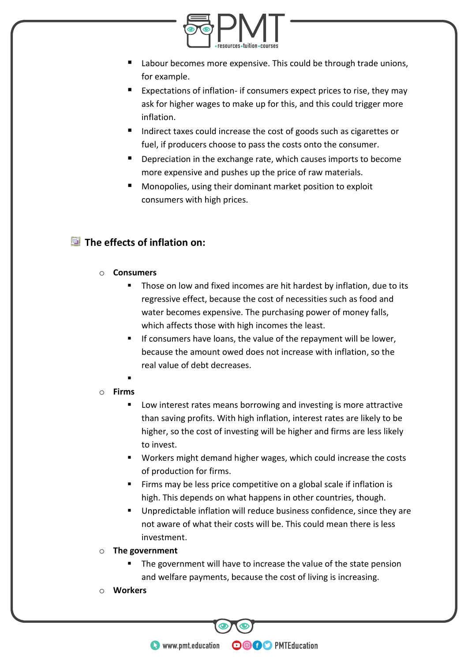

- Labour becomes more expensive. This could be through trade unions, for example.
- Expectations of inflation- if consumers expect prices to rise, they may ask for higher wages to make up for this, and this could trigger more inflation.
- Indirect taxes could increase the cost of goods such as cigarettes or fuel, if producers choose to pass the costs onto the consumer.
- **Depreciation in the exchange rate, which causes imports to become** more expensive and pushes up the price of raw materials.
- Monopolies, using their dominant market position to exploit consumers with high prices.

#### **The effects of inflation on:**

#### o **Consumers**

- Those on low and fixed incomes are hit hardest by inflation, due to its regressive effect, because the cost of necessities such as food and water becomes expensive. The purchasing power of money falls, which affects those with high incomes the least.
- If consumers have loans, the value of the repayment will be lower, because the amount owed does not increase with inflation, so the real value of debt decreases.
- .

#### o **Firms**

- Low interest rates means borrowing and investing is more attractive than saving profits. With high inflation, interest rates are likely to be higher, so the cost of investing will be higher and firms are less likely to invest.
- Workers might demand higher wages, which could increase the costs of production for firms.
- Firms may be less price competitive on a global scale if inflation is high. This depends on what happens in other countries, though.
- Unpredictable inflation will reduce business confidence, since they are not aware of what their costs will be. This could mean there is less investment.
- o **The government**
	- The government will have to increase the value of the state pension and welfare payments, because the cost of living is increasing.

**OOOO** PMTEducation

o **Workers**